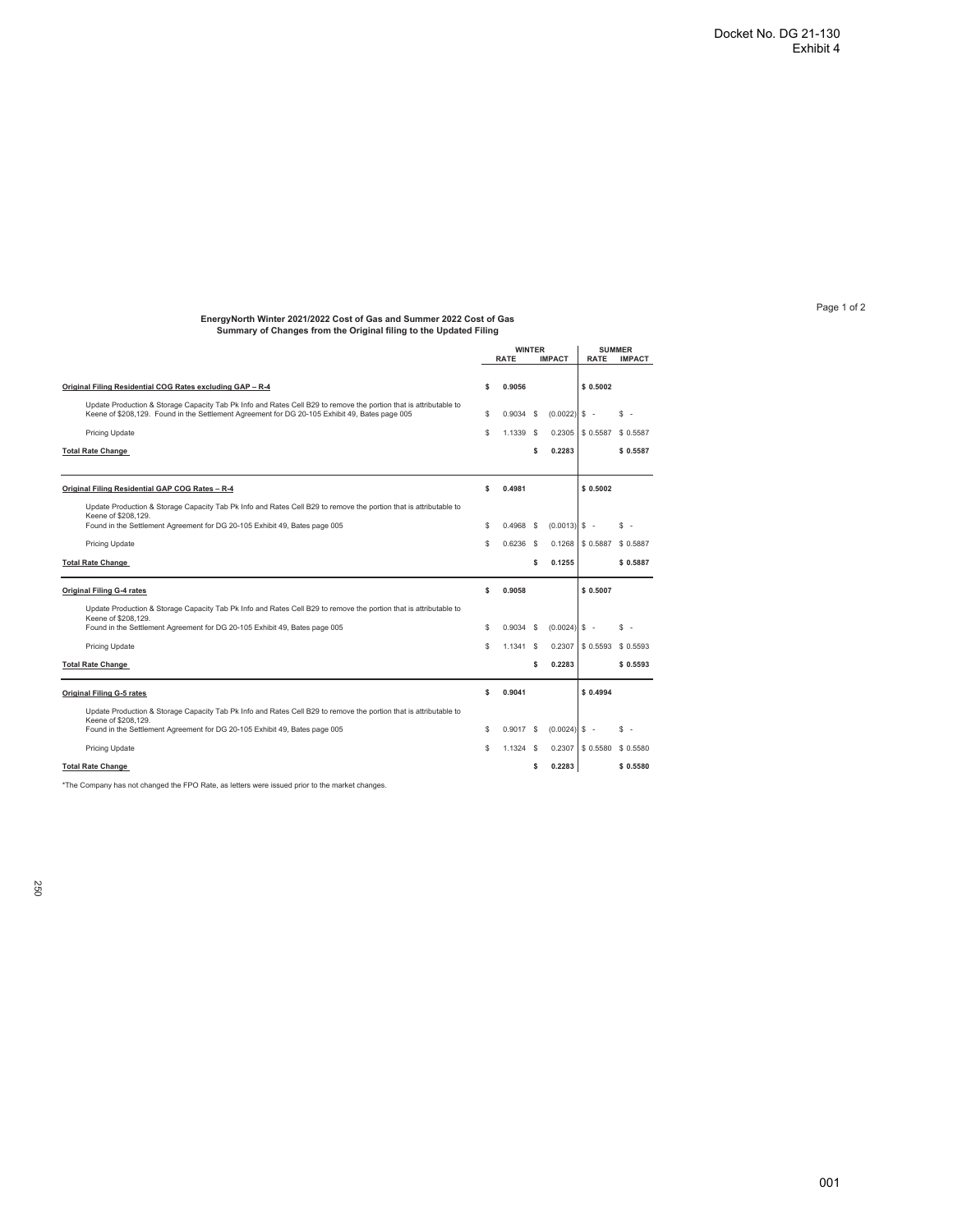## Page 1 of 2

## **EnergyNorth Winter 2021/2022 Cost of Gas and Summer 2022 Cost of Gas Summary of Changes from the Original filing to the Updated Filing**

|                                                                                                                                          | <b>WINTER</b> |             |          | <b>SUMMER</b>   |             |               |
|------------------------------------------------------------------------------------------------------------------------------------------|---------------|-------------|----------|-----------------|-------------|---------------|
|                                                                                                                                          |               | <b>RATE</b> |          | <b>IMPACT</b>   | <b>RATE</b> | <b>IMPACT</b> |
|                                                                                                                                          |               |             |          |                 |             |               |
| Original Filing Residential COG Rates excluding GAP - R-4                                                                                | \$            | 0.9056      |          |                 | \$0.5002    |               |
| Update Production & Storage Capacity Tab Pk Info and Rates Cell B29 to remove the portion that is attributable to                        |               |             |          |                 |             |               |
| Keene of \$208,129. Found in the Settlement Agreement for DG 20-105 Exhibit 49, Bates page 005                                           | s             | 0.9034      | <b>S</b> | (0.0022)        | $s -$       | \$            |
| Pricing Update                                                                                                                           | S             | 1.1339 \$   |          | 0.2305          | \$ 0.5587   | \$ 0.5587     |
| <b>Total Rate Change</b>                                                                                                                 |               |             | \$       | 0.2283          |             | \$0.5587      |
|                                                                                                                                          |               |             |          |                 |             |               |
| Original Filing Residential GAP COG Rates - R-4                                                                                          | Ś             | 0.4981      |          |                 | \$0.5002    |               |
|                                                                                                                                          |               |             |          |                 |             |               |
| Update Production & Storage Capacity Tab Pk Info and Rates Cell B29 to remove the portion that is attributable to<br>Keene of \$208,129. |               |             |          |                 |             |               |
| Found in the Settlement Agreement for DG 20-105 Exhibit 49, Bates page 005                                                               | S             | $0.4968$ \$ |          | $(0.0013)$ \$ - |             | s.<br>$\sim$  |
| <b>Pricing Update</b>                                                                                                                    | Ś             | 0.6236      | - \$     | 0.1268          | \$ 0.5887   | \$ 0.5887     |
| <b>Total Rate Change</b>                                                                                                                 |               |             | \$       | 0.1255          |             | \$ 0.5887     |
|                                                                                                                                          |               |             |          |                 |             |               |
| <b>Original Filing G-4 rates</b>                                                                                                         | Ś             | 0.9058      |          |                 | \$0.5007    |               |
| Update Production & Storage Capacity Tab Pk Info and Rates Cell B29 to remove the portion that is attributable to                        |               |             |          |                 |             |               |
| Keene of \$208,129.<br>Found in the Settlement Agreement for DG 20-105 Exhibit 49, Bates page 005                                        | S             | 0.9034      | - \$     | $(0.0024)$ \$ - |             | S.<br>$\sim$  |
| Pricing Update                                                                                                                           | Ś             | 1.1341      | <b>S</b> | 0.2307          | \$ 0.5593   | \$ 0.5593     |
|                                                                                                                                          |               |             |          |                 |             |               |
| <b>Total Rate Change</b>                                                                                                                 |               |             | \$       | 0.2283          |             | \$0.5593      |
| <b>Original Filing G-5 rates</b>                                                                                                         | Ś             | 0.9041      |          |                 | \$0.4994    |               |
| Update Production & Storage Capacity Tab Pk Info and Rates Cell B29 to remove the portion that is attributable to                        |               |             |          |                 |             |               |
| Keene of \$208,129.                                                                                                                      |               |             |          |                 |             |               |
| Found in the Settlement Agreement for DG 20-105 Exhibit 49, Bates page 005                                                               | S             | $0.9017$ \$ |          | (0.0024)        | $s -$       | S<br>٠.       |
| Pricing Update                                                                                                                           | Ś             | $1.1324$ \$ |          | 0.2307          | \$ 0.5580   | \$ 0.5580     |
| <b>Total Rate Change</b>                                                                                                                 |               |             | \$       | 0.2283          |             | \$ 0.5580     |
|                                                                                                                                          |               |             |          |                 |             |               |

\*The Company has not changed the FPO Rate, as letters were issued prior to the market changes.